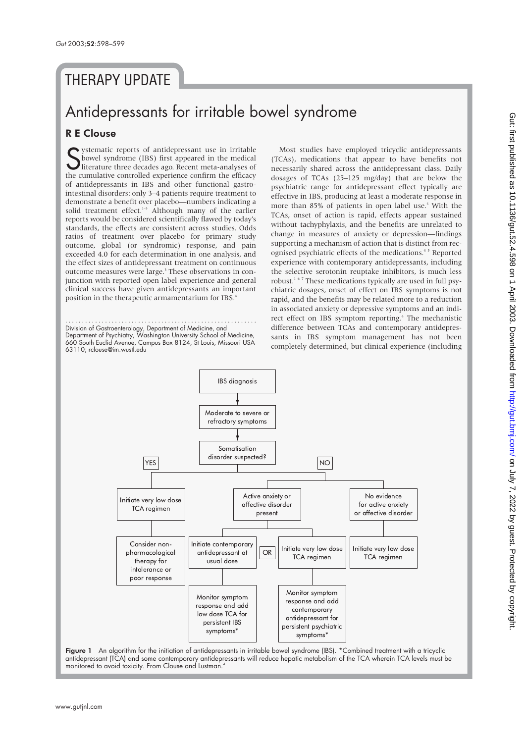## **THERAPY UPDATE**

# Antidepressants for irritable bowel syndrome

### R E Clouse

Systematic reports of antidepressant use in irritable<br>bowel syndrome (IBS) first appeared in the medical<br>literature three decades ago. Recent meta-analyses of<br>the cumulative controlled experience confirm the efficacy ystematic reports of antidepressant use in irritable bowel syndrome (IBS) first appeared in the medical literature three decades ago. Recent meta-analyses of of antidepressants in IBS and other functional gastrointestinal disorders: only 3–4 patients require treatment to demonstrate a benefit over placebo—numbers indicating a solid treatment effect.<sup>1-3</sup> Although many of the earlier reports would be considered scientifically flawed by today's standards, the effects are consistent across studies. Odds ratios of treatment over placebo for primary study outcome, global (or syndromic) response, and pain exceeded 4.0 for each determination in one analysis, and the effect sizes of antidepressant treatment on continuous outcome measures were large.<sup>3</sup> These observations in conjunction with reported open label experience and general clinical success have given antidepressants an important position in the therapeutic armamentarium for IBS.4

.......................................................... Division of Gastroenterology, Department of Medicine, and Department of Psychiatry, Washington University School of Medicine, 660 South Euclid Avenue, Campus Box 8124, St Louis, Missouri USA 63110; rclouse@im.wustl.edu

Most studies have employed tricyclic antidepressants (TCAs), medications that appear to have benefits not necessarily shared across the antidepressant class. Daily dosages of TCAs (25–125 mg/day) that are below the psychiatric range for antidepressant effect typically are effective in IBS, producing at least a moderate response in more than 85% of patients in open label use.<sup>5</sup> With the TCAs, onset of action is rapid, effects appear sustained without tachyphylaxis, and the benefits are unrelated to change in measures of anxiety or depression—findings supporting a mechanism of action that is distinct from recognised psychiatric effects of the medications.<sup>45</sup> Reported experience with contemporary antidepressants, including the selective serotonin reuptake inhibitors, is much less robust.<sup>167</sup> These medications typically are used in full psychiatric dosages, onset of effect on IBS symptoms is not rapid, and the benefits may be related more to a reduction in associated anxiety or depressive symptoms and an indirect effect on IBS symptom reporting.<sup>4</sup> The mechanistic difference between TCAs and contemporary antidepressants in IBS symptom management has not been completely determined, but clinical experience (including